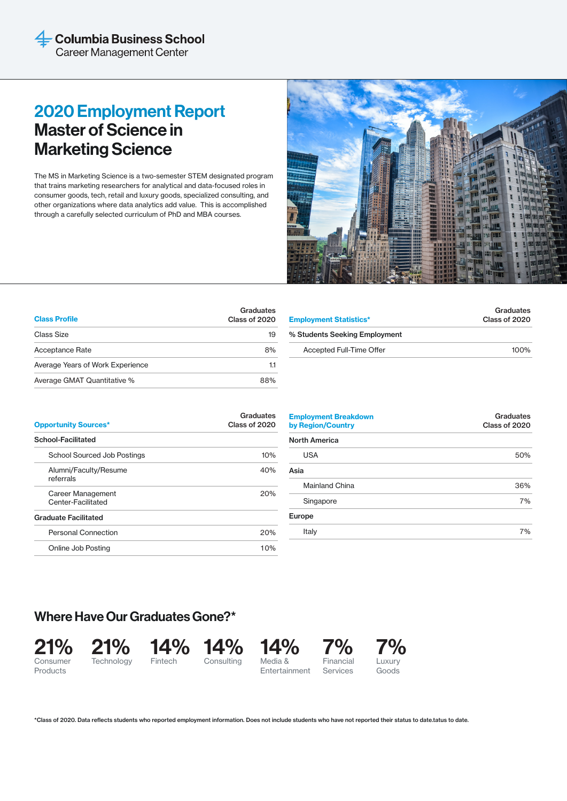# 2020 Employment Report Master of Science in Marketing Science

The MS in Marketing Science is a two-semester STEM designated program that trains marketing researchers for analytical and data-focused roles in consumer goods, tech, retail and luxury goods, specialized consulting, and other organizations where data analytics add value. This is accomplished through a carefully selected curriculum of PhD and MBA courses.



| <b>Class Profile</b>             | Graduates<br>Class of 2020 |
|----------------------------------|----------------------------|
| Class Size                       | 19                         |
| Acceptance Rate                  | 8%                         |
| Average Years of Work Experience | 1.1                        |
| Average GMAT Quantitative %      | 88%                        |

| Graduates<br>Class of 2020 |
|----------------------------|
|                            |
| $100\%$                    |
|                            |

| <b>Opportunity Sources*</b>             | Graduates<br>Class of 2020 |
|-----------------------------------------|----------------------------|
| School-Facilitated                      |                            |
| <b>School Sourced Job Postings</b>      | 10%                        |
| Alumni/Faculty/Resume<br>referrals      | 40%                        |
| Career Management<br>Center-Facilitated | 20%                        |
| <b>Graduate Facilitated</b>             |                            |
| <b>Personal Connection</b>              | 20%                        |
| Online Job Posting                      | 10%                        |

| <b>Employment Breakdown</b><br>by Region/Country | Graduates<br>Class of 2020 |
|--------------------------------------------------|----------------------------|
| <b>North America</b>                             |                            |
| <b>USA</b>                                       | 50%                        |
| Asia                                             |                            |
| <b>Mainland China</b>                            | 36%                        |
| Singapore                                        | 7%                         |
| Europe                                           |                            |
| Italy                                            | 7%                         |

# Where Have Our Graduates Gone?\*









**Entertainment** 7% Financial Services





\*Class of 2020. Data reflects students who reported employment information. Does not include students who have not reported their status to date.tatus to date.